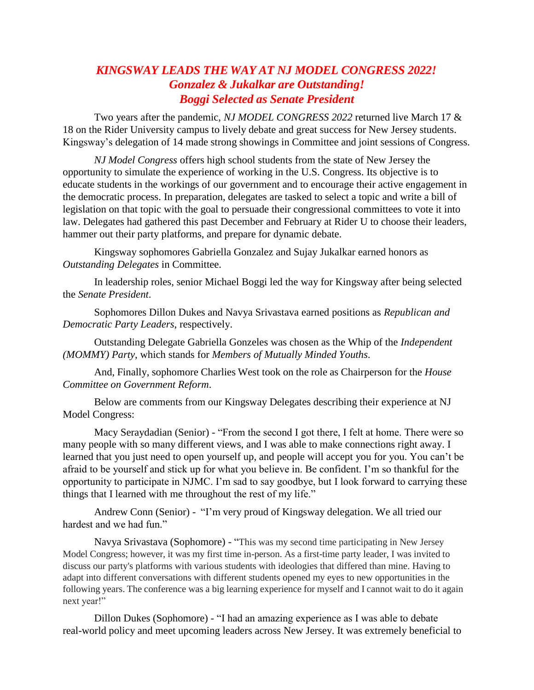## *KINGSWAY LEADS THE WAY AT NJ MODEL CONGRESS 2022! Gonzalez & Jukalkar are Outstanding! Boggi Selected as Senate President*

Two years after the pandemic, *NJ MODEL CONGRESS 2022* returned live March 17 & 18 on the Rider University campus to lively debate and great success for New Jersey students. Kingsway's delegation of 14 made strong showings in Committee and joint sessions of Congress.

*NJ Model Congress* offers high school students from the state of New Jersey the opportunity to simulate the experience of working in the U.S. Congress. Its objective is to educate students in the workings of our government and to encourage their active engagement in the democratic process. In preparation, delegates are tasked to select a topic and write a bill of legislation on that topic with the goal to persuade their congressional committees to vote it into law. Delegates had gathered this past December and February at Rider U to choose their leaders, hammer out their party platforms, and prepare for dynamic debate.

Kingsway sophomores Gabriella Gonzalez and Sujay Jukalkar earned honors as *Outstanding Delegates* in Committee.

In leadership roles, senior Michael Boggi led the way for Kingsway after being selected the *Senate President*.

Sophomores Dillon Dukes and Navya Srivastava earned positions as *Republican and Democratic Party Leaders*, respectively.

Outstanding Delegate Gabriella Gonzeles was chosen as the Whip of the *Independent (MOMMY) Party*, which stands for *Members of Mutually Minded Youths*.

And, Finally, sophomore Charlies West took on the role as Chairperson for the *House Committee on Government Reform*.

Below are comments from our Kingsway Delegates describing their experience at NJ Model Congress:

Macy Seraydadian (Senior) - "From the second I got there, I felt at home. There were so many people with so many different views, and I was able to make connections right away. I learned that you just need to open yourself up, and people will accept you for you. You can't be afraid to be yourself and stick up for what you believe in. Be confident. I'm so thankful for the opportunity to participate in NJMC. I'm sad to say goodbye, but I look forward to carrying these things that I learned with me throughout the rest of my life."

Andrew Conn (Senior) - "I'm very proud of Kingsway delegation. We all tried our hardest and we had fun."

Navya Srivastava (Sophomore) - "This was my second time participating in New Jersey Model Congress; however, it was my first time in-person. As a first-time party leader, I was invited to discuss our party's platforms with various students with ideologies that differed than mine. Having to adapt into different conversations with different students opened my eyes to new opportunities in the following years. The conference was a big learning experience for myself and I cannot wait to do it again next year!"

Dillon Dukes (Sophomore) - "I had an amazing experience as I was able to debate real-world policy and meet upcoming leaders across New Jersey. It was extremely beneficial to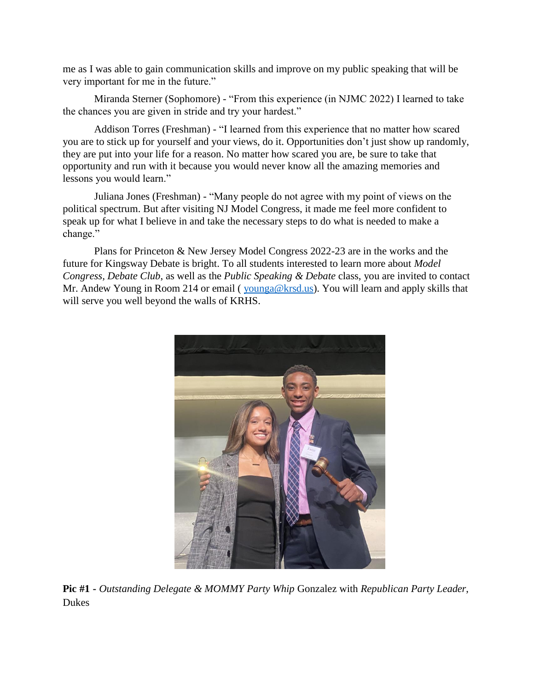me as I was able to gain communication skills and improve on my public speaking that will be very important for me in the future."

Miranda Sterner (Sophomore) - "From this experience (in NJMC 2022) I learned to take the chances you are given in stride and try your hardest."

Addison Torres (Freshman) - "I learned from this experience that no matter how scared you are to stick up for yourself and your views, do it. Opportunities don't just show up randomly, they are put into your life for a reason. No matter how scared you are, be sure to take that opportunity and run with it because you would never know all the amazing memories and lessons you would learn."

Juliana Jones (Freshman) - "Many people do not agree with my point of views on the political spectrum. But after visiting NJ Model Congress, it made me feel more confident to speak up for what I believe in and take the necessary steps to do what is needed to make a change."

Plans for Princeton & New Jersey Model Congress 2022-23 are in the works and the future for Kingsway Debate is bright. To all students interested to learn more about *Model Congress, Debate Club*, as well as the *Public Speaking & Debate* class, you are invited to contact Mr. Andew Young in Room 214 or email (*younga@krsd.us*). You will learn and apply skills that will serve you well beyond the walls of KRHS.



**Pic #1 -** *Outstanding Delegate & MOMMY Party Whip* Gonzalez with *Republican Party Leader*, Dukes